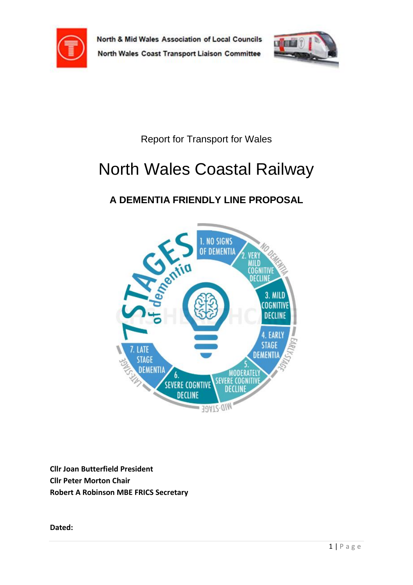



Report for Transport for Wales

# North Wales Coastal Railway

# **A DEMENTIA FRIENDLY LINE PROPOSAL**



**Cllr Joan Butterfield President Cllr Peter Morton Chair Robert A Robinson MBE FRICS Secretary**

**Dated:**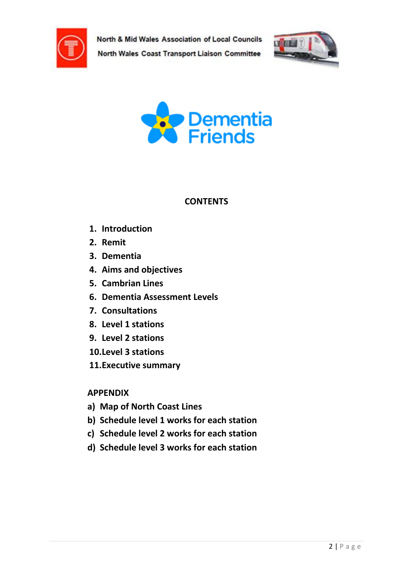





#### **CONTENTS**

- **1. Introduction**
- **2. Remit**
- **3. Dementia**
- **4. Aims and objectives**
- **5. Cambrian Lines**
- **6. Dementia Assessment Levels**
- **7. Consultations**
- **8. Level 1 stations**
- **9. Level 2 stations**
- **10.Level 3 stations**
- **11.Executive summary**

# **APPENDIX**

- **a) Map of North Coast Lines**
- **b) Schedule level 1 works for each station**
- **c) Schedule level 2 works for each station**
- **d) Schedule level 3 works for each station**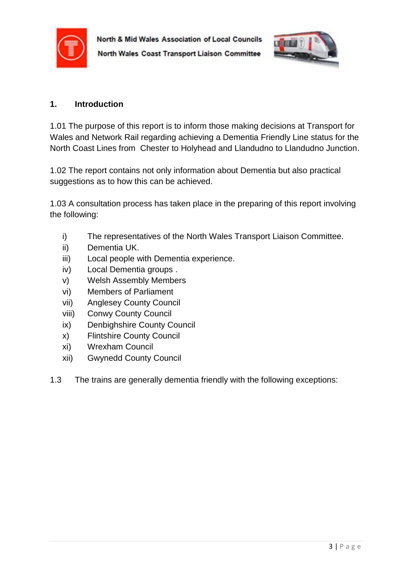



#### **1. Introduction**

1.01 The purpose of this report is to inform those making decisions at Transport for Wales and Network Rail regarding achieving a Dementia Friendly Line status for the North Coast Lines from Chester to Holyhead and Llandudno to Llandudno Junction.

1.02 The report contains not only information about Dementia but also practical suggestions as to how this can be achieved.

1.03 A consultation process has taken place in the preparing of this report involving the following:

- i) The representatives of the North Wales Transport Liaison Committee.
- ii) Dementia UK.
- iii) Local people with Dementia experience.
- iv) Local Dementia groups .
- v) Welsh Assembly Members
- vi) Members of Parliament
- vii) Anglesey County Council
- viii) Conwy County Council
- ix) Denbighshire County Council
- x) Flintshire County Council
- xi) Wrexham Council
- xii) Gwynedd County Council
- 1.3 The trains are generally dementia friendly with the following exceptions: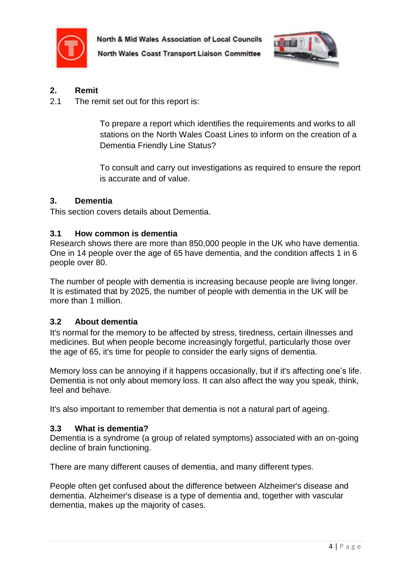



#### **2. Remit**

2.1 The remit set out for this report is:

To prepare a report which identifies the requirements and works to all stations on the North Wales Coast Lines to inform on the creation of a Dementia Friendly Line Status?

To consult and carry out investigations as required to ensure the report is accurate and of value.

#### **3. Dementia**

This section covers details about Dementia.

#### **3.1 How common is dementia**

Research shows there are more than 850,000 people in the UK who have dementia. One in 14 people over the age of 65 have dementia, and the condition affects 1 in 6 people over 80.

The number of people with dementia is increasing because people are living longer. It is estimated that by 2025, the number of people with dementia in the UK will be more than 1 million.

#### **3.2 About dementia**

It's normal for the memory to be affected by stress, tiredness, certain illnesses and medicines. But when people become increasingly forgetful, particularly those over the age of 65, it's time for people to consider the early signs of dementia.

[Memory loss](https://www.nhs.uk/conditions/memory-loss-amnesia/) can be annoying if it happens occasionally, but if it's affecting one's life. Dementia is not only about memory loss. It can also affect the way you speak, think, feel and behave.

It's also important to remember that dementia is not a natural part of ageing.

#### **3.3 What is dementia?**

Dementia is a syndrome (a group of related symptoms) associated with an on-going decline of brain functioning.

There are many different causes of dementia, and many different types.

People often get confused about the difference between Alzheimer's disease and dementia. [Alzheimer's disease](https://www.nhs.uk/conditions/alzheimers-disease/) is a type of dementia and, together with [vascular](https://www.nhs.uk/conditions/vascular-dementia/)  [dementia,](https://www.nhs.uk/conditions/vascular-dementia/) makes up the majority of cases.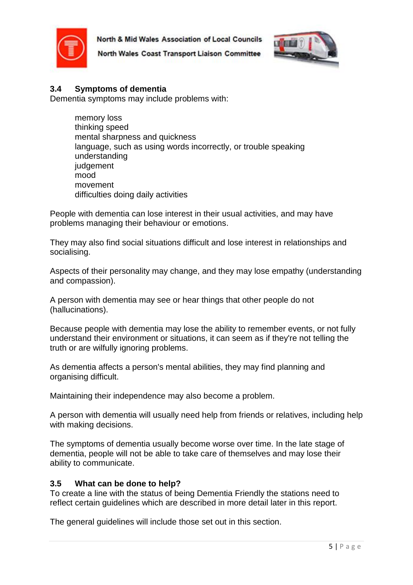

North Wales Coast Transport Liaison Committee



#### **3.4 Symptoms of dementia**

Dementia symptoms may include problems with:

memory loss thinking speed mental sharpness and quickness language, such as using words incorrectly, or trouble speaking understanding judgement mood movement difficulties doing daily activities

People with dementia can lose interest in their usual activities, and may have [problems managing their behaviour or emotions.](https://www.nhs.uk/conditions/dementia/behaviour/)

They may also find social situations difficult and lose interest in [relationships and](https://www.nhs.uk/conditions/dementia/relationships-and-dementia/)  [socialising.](https://www.nhs.uk/conditions/dementia/relationships-and-dementia/)

Aspects of their personality may change, and they may lose empathy (understanding and compassion).

A person with dementia may see or hear things that other people do not [\(hallucinations\).](https://www.nhs.uk/conditions/hallucinations/)

Because people with dementia may lose the ability to remember events, or not fully understand their environment or situations, it can seem as if they're not telling the truth or are wilfully ignoring problems.

As dementia affects a person's mental abilities, they may find planning and organising difficult.

[Maintaining their independence](https://www.nhs.uk/conditions/dementia/staying-independent-with-dementia/) may also become a problem.

A person with dementia will usually need help from friends or relatives, including help with making decisions.

The symptoms of dementia usually become worse over time. In the late stage of dementia, people will not be able to take care of themselves and may lose their ability to communicate.

#### **3.5 What can be done to help?**

To create a line with the status of being Dementia Friendly the stations need to reflect certain guidelines which are described in more detail later in this report.

The general guidelines will include those set out in this section.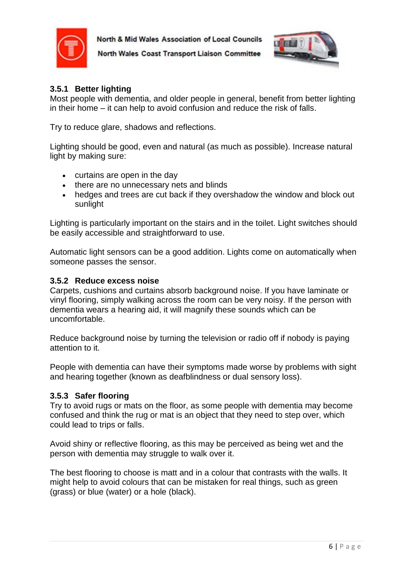

North Wales Coast Transport Liaison Committee



#### **3.5.1 Better lighting**

Most people with dementia, and older people in general, benefit from better lighting in their home – it can help to avoid confusion and [reduce the risk of falls.](https://www.nhs.uk/conditions/falls/prevention/)

Try to reduce glare, shadows and reflections.

Lighting should be good, even and natural (as much as possible). Increase natural light by making sure:

- curtains are open in the day
- there are no unnecessary nets and blinds
- hedges and trees are cut back if they overshadow the window and block out sunlight

Lighting is particularly important on the stairs and in the toilet. Light switches should be easily accessible and straightforward to use.

Automatic light sensors can be a good addition. Lights come on automatically when someone passes the sensor.

#### **3.5.2 Reduce excess noise**

Carpets, cushions and curtains absorb background noise. If you have laminate or vinyl flooring, simply walking across the room can be very noisy. If the person with dementia wears a hearing aid, it will magnify these sounds which can be uncomfortable.

Reduce background noise by turning the television or radio off if nobody is paying attention to it.

People with dementia can have their symptoms made worse by problems with sight and hearing together (known as deafblindness or dual sensory loss).

#### **3.5.3 Safer flooring**

Try to avoid rugs or mats on the floor, as some people with dementia may become confused and think the rug or mat is an object that they need to step over, which could lead to trips or falls.

Avoid shiny or reflective flooring, as this may be perceived as being wet and the person with dementia may struggle to walk over it.

The best flooring to choose is matt and in a colour that contrasts with the walls. It might help to avoid colours that can be mistaken for real things, such as green (grass) or blue (water) or a hole (black).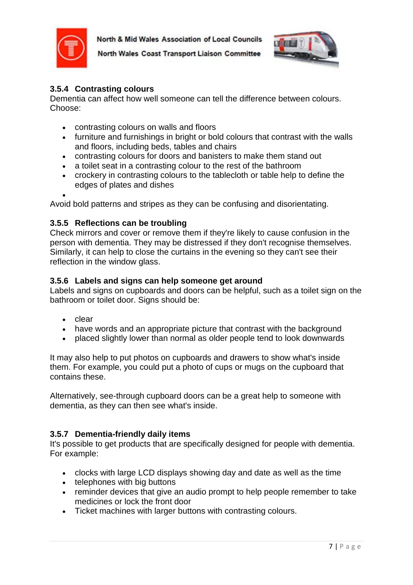

North Wales Coast Transport Liaison Committee



#### **3.5.4 Contrasting colours**

Dementia can affect how well someone can tell the difference between colours. Choose:

- contrasting colours on walls and floors
- furniture and furnishings in bright or bold colours that contrast with the walls and floors, including beds, tables and chairs
- contrasting colours for doors and banisters to make them stand out
- a toilet seat in a contrasting colour to the rest of the bathroom
- crockery in contrasting colours to the tablecloth or table help to define the edges of plates and dishes
- $\bullet$

Avoid bold patterns and stripes as they can be confusing and disorientating.

#### **3.5.5 Reflections can be troubling**

Check mirrors and cover or remove them if they're likely to cause confusion in the person with dementia. They may be distressed if they don't recognise themselves. Similarly, it can help to close the curtains in the evening so they can't see their reflection in the window glass.

#### **3.5.6 Labels and signs can help someone get around**

Labels and signs on cupboards and doors can be helpful, such as a toilet sign on the bathroom or toilet door. Signs should be:

- clear
- have words and an appropriate picture that contrast with the background
- placed slightly lower than normal as older people tend to look downwards

It may also help to put photos on cupboards and drawers to show what's inside them. For example, you could put a photo of cups or mugs on the cupboard that contains these.

Alternatively, see-through cupboard doors can be a great help to someone with dementia, as they can then see what's inside.

#### **3.5.7 Dementia-friendly daily items**

It's possible to get products that are specifically designed for people with dementia. For example:

- clocks with large LCD displays showing day and date as well as the time
- telephones with big buttons
- reminder devices that give an audio prompt to help people remember to take medicines or lock the front door
- Ticket machines with larger buttons with contrasting colours.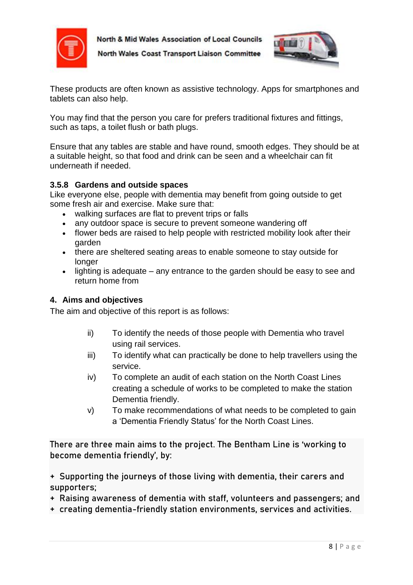

North Wales Coast Transport Liaison Committee



These products are often known as [assistive technology.](https://www.alzheimers.org.uk/get-support/staying-independent/assistive-technology-and-dementia#content-start) Apps for smartphones and tablets can also help.

You may find that the person you care for prefers traditional fixtures and fittings, such as taps, a toilet flush or bath plugs.

Ensure that any tables are stable and have round, smooth edges. They should be at a suitable height, so that food and drink can be seen and a wheelchair can fit underneath if needed.

#### **3.5.8 Gardens and outside spaces**

Like everyone else, people with dementia may benefit from going outside to get some fresh air and exercise. Make sure that:

- walking surfaces are flat to prevent trips or falls
- any outdoor space is secure to prevent someone wandering off
- flower beds are raised to help people with restricted mobility look after their garden
- there are sheltered seating areas to enable someone to stay outside for longer
- lighting is adequate any entrance to the garden should be easy to see and return home from

#### **4. Aims and objectives**

The aim and objective of this report is as follows:

- ii) To identify the needs of those people with Dementia who travel using rail services.
- iii) To identify what can practically be done to help travellers using the service.
- iv) To complete an audit of each station on the North Coast Lines creating a schedule of works to be completed to make the station Dementia friendly.
- v) To make recommendations of what needs to be completed to gain a 'Dementia Friendly Status' for the North Coast Lines.

There are three main aims to the project. The Bentham Line is 'working to become dementia friendly', by:

+ Supporting the journeys of those living with dementia, their carers and supporters;

- + Raising awareness of dementia with staff, volunteers and passengers; and
- + creating dementia-friendly station environments, services and activities.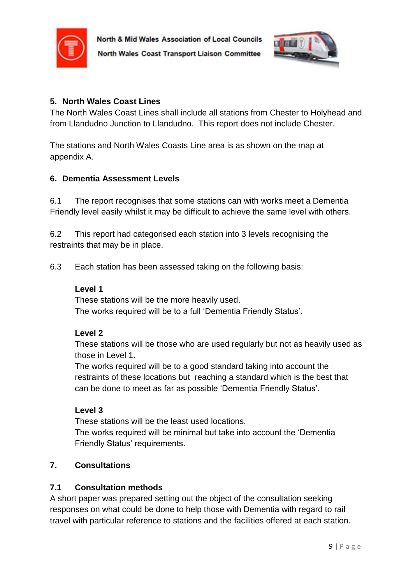



### **5. North Wales Coast Lines**

The North Wales Coast Lines shall include all stations from Chester to Holyhead and from Llandudno Junction to Llandudno. This report does not include Chester.

The stations and North Wales Coasts Line area is as shown on the map at appendix A.

#### **6. Dementia Assessment Levels**

6.1 The report recognises that some stations can with works meet a Dementia Friendly level easily whilst it may be difficult to achieve the same level with others.

6.2 This report had categorised each station into 3 levels recognising the restraints that may be in place.

6.3 Each station has been assessed taking on the following basis:

#### **Level 1**

These stations will be the more heavily used. The works required will be to a full 'Dementia Friendly Status'.

#### **Level 2**

These stations will be those who are used regularly but not as heavily used as those in Level 1.

The works required will be to a good standard taking into account the restraints of these locations but reaching a standard which is the best that can be done to meet as far as possible 'Dementia Friendly Status'.

#### **Level 3**

These stations will be the least used locations.

The works required will be minimal but take into account the 'Dementia Friendly Status' requirements.

# **7. Consultations**

#### **7.1 Consultation methods**

A short paper was prepared setting out the object of the consultation seeking responses on what could be done to help those with Dementia with regard to rail travel with particular reference to stations and the facilities offered at each station.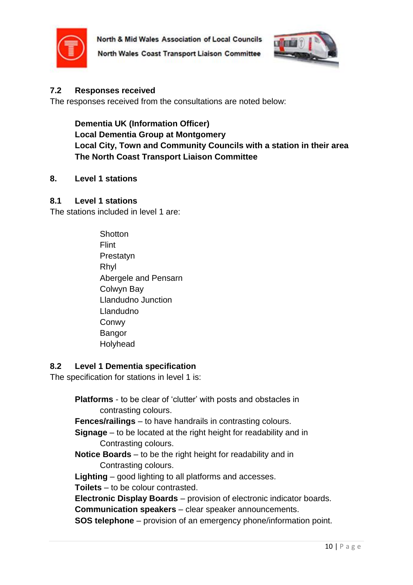

North Wales Coast Transport Liaison Committee



#### **7.2 Responses received**

The responses received from the consultations are noted below:

**Dementia UK (Information Officer) Local Dementia Group at Montgomery Local City, Town and Community Councils with a station in their area The North Coast Transport Liaison Committee**

#### **8. Level 1 stations**

#### **8.1 Level 1 stations**

The stations included in level 1 are:

**Shotton** Flint Prestatyn Rhyl Abergele and Pensarn Colwyn Bay Llandudno Junction Llandudno Conwy Bangor Holyhead

#### **8.2 Level 1 Dementia specification**

The specification for stations in level 1 is:

**Platforms** - to be clear of 'clutter' with posts and obstacles in contrasting colours. **Fences/railings** – to have handrails in contrasting colours. **Signage** – to be located at the right height for readability and in Contrasting colours. **Notice Boards** – to be the right height for readability and in Contrasting colours. **Lighting** – good lighting to all platforms and accesses. **Toilets** – to be colour contrasted. **Electronic Display Boards** – provision of electronic indicator boards. **Communication speakers** – clear speaker announcements. **SOS telephone** – provision of an emergency phone/information point.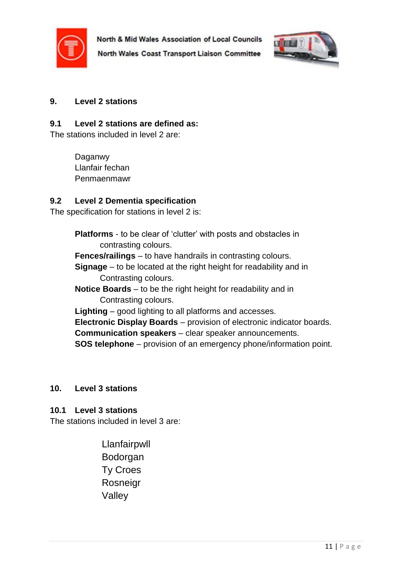



#### **9. Level 2 stations**

**9.1 Level 2 stations are defined as:**

The stations included in level 2 are:

Daganwy Llanfair fechan Penmaenmawr

#### **9.2 Level 2 Dementia specification**

The specification for stations in level 2 is:

**Platforms** - to be clear of 'clutter' with posts and obstacles in contrasting colours. **Fences/railings** – to have handrails in contrasting colours. **Signage** – to be located at the right height for readability and in Contrasting colours. **Notice Boards** – to be the right height for readability and in Contrasting colours. **Lighting** – good lighting to all platforms and accesses. **Electronic Display Boards** – provision of electronic indicator boards. **Communication speakers** – clear speaker announcements. **SOS telephone** – provision of an emergency phone/information point.

#### **10. Level 3 stations**

#### **10.1 Level 3 stations**

The stations included in level 3 are:

**Llanfairpwll** Bodorgan Ty Croes **Rosneigr** Valley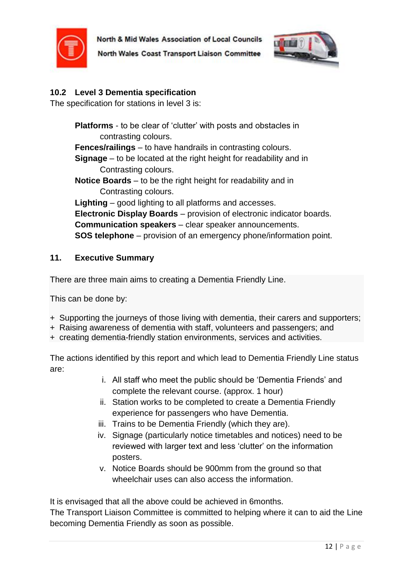



#### **10.2 Level 3 Dementia specification**

The specification for stations in level 3 is:

**Platforms** - to be clear of 'clutter' with posts and obstacles in contrasting colours. **Fences/railings** – to have handrails in contrasting colours. **Signage** – to be located at the right height for readability and in Contrasting colours. **Notice Boards** – to be the right height for readability and in Contrasting colours. **Lighting** – good lighting to all platforms and accesses. **Electronic Display Boards** – provision of electronic indicator boards. **Communication speakers** – clear speaker announcements. **SOS telephone** – provision of an emergency phone/information point.

#### **11. Executive Summary**

There are three main aims to creating a Dementia Friendly Line.

This can be done by:

- + Supporting the journeys of those living with dementia, their carers and supporters;
- + Raising awareness of dementia with staff, volunteers and passengers; and
- + creating dementia-friendly station environments, services and activities.

The actions identified by this report and which lead to Dementia Friendly Line status are:

- i. All staff who meet the public should be 'Dementia Friends' and complete the relevant course. (approx. 1 hour)
- ii. Station works to be completed to create a Dementia Friendly experience for passengers who have Dementia.
- iii. Trains to be Dementia Friendly (which they are).
- iv. Signage (particularly notice timetables and notices) need to be reviewed with larger text and less 'clutter' on the information posters.
- v. Notice Boards should be 900mm from the ground so that wheelchair uses can also access the information.

It is envisaged that all the above could be achieved in 6months.

The Transport Liaison Committee is committed to helping where it can to aid the Line becoming Dementia Friendly as soon as possible.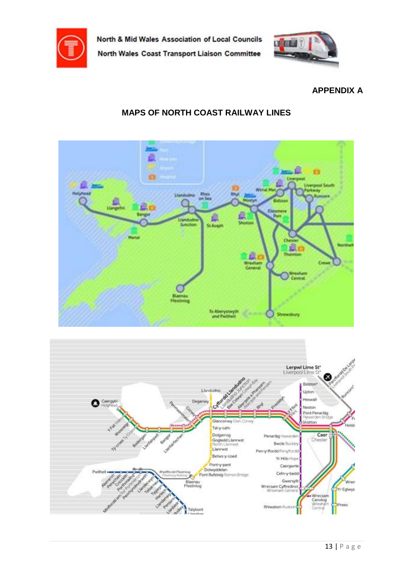



#### **APPENDIX A**

# **MAPS OF NORTH COAST RAILWAY LINES**



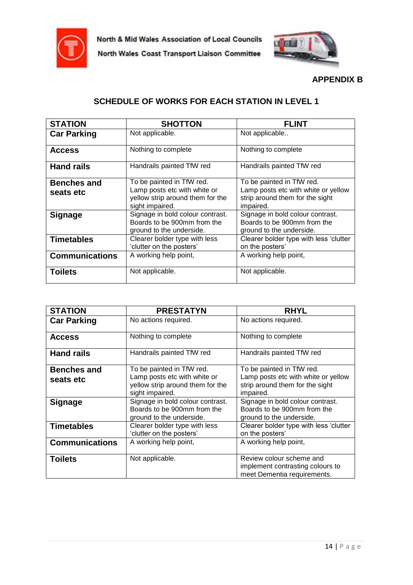

North Wales Coast Transport Liaison Committee



**APPENDIX B**

# **SCHEDULE OF WORKS FOR EACH STATION IN LEVEL 1**

| <b>STATION</b>        | <b>SHOTTON</b>                                                                                                         | <b>FLINT</b>                                                                                |
|-----------------------|------------------------------------------------------------------------------------------------------------------------|---------------------------------------------------------------------------------------------|
| <b>Car Parking</b>    | Not applicable.                                                                                                        | Not applicable                                                                              |
| <b>Access</b>         | Nothing to complete                                                                                                    | Nothing to complete                                                                         |
| <b>Hand rails</b>     | Handrails painted TfW red                                                                                              | Handrails painted TfW red                                                                   |
| <b>Benches and</b>    | To be painted in TfW red.                                                                                              | To be painted in TfW red.                                                                   |
| seats etc             | Lamp posts etc with white or<br>yellow strip around them for the<br>sight impaired.                                    | Lamp posts etc with white or yellow<br>strip around them for the sight<br>impaired.         |
| <b>Signage</b>        | Signage in bold colour contrast.<br>Boards to be 900mm from the<br>ground to the underside.                            | Signage in bold colour contrast.<br>Boards to be 900mm from the<br>ground to the underside. |
| <b>Timetables</b>     | Clearer bolder type with less 'clutter<br>Clearer bolder type with less<br>'clutter on the posters'<br>on the posters' |                                                                                             |
| <b>Communications</b> | A working help point,<br>A working help point,                                                                         |                                                                                             |
| <b>Toilets</b>        | Not applicable.<br>Not applicable.                                                                                     |                                                                                             |

| <b>STATION</b>                  | <b>PRESTATYN</b>                                                                                                 | <b>RHYL</b>                                                                                                      |
|---------------------------------|------------------------------------------------------------------------------------------------------------------|------------------------------------------------------------------------------------------------------------------|
| <b>Car Parking</b>              | No actions required.                                                                                             | No actions required.                                                                                             |
| <b>Access</b>                   | Nothing to complete                                                                                              | Nothing to complete                                                                                              |
| <b>Hand rails</b>               | Handrails painted TfW red                                                                                        | Handrails painted TfW red                                                                                        |
| <b>Benches and</b><br>seats etc | To be painted in TfW red.<br>Lamp posts etc with white or<br>yellow strip around them for the<br>sight impaired. | To be painted in TfW red.<br>Lamp posts etc with white or yellow<br>strip around them for the sight<br>impaired. |
| <b>Signage</b>                  | Signage in bold colour contrast.<br>Boards to be 900mm from the<br>ground to the underside.                      | Signage in bold colour contrast.<br>Boards to be 900mm from the<br>ground to the underside.                      |
| <b>Timetables</b>               | Clearer bolder type with less<br>'clutter on the posters'                                                        | Clearer bolder type with less 'clutter<br>on the posters'                                                        |
| <b>Communications</b>           | A working help point,<br>A working help point,                                                                   |                                                                                                                  |
| <b>Toilets</b>                  | Not applicable.                                                                                                  | Review colour scheme and<br>implement contrasting colours to<br>meet Dementia requirements.                      |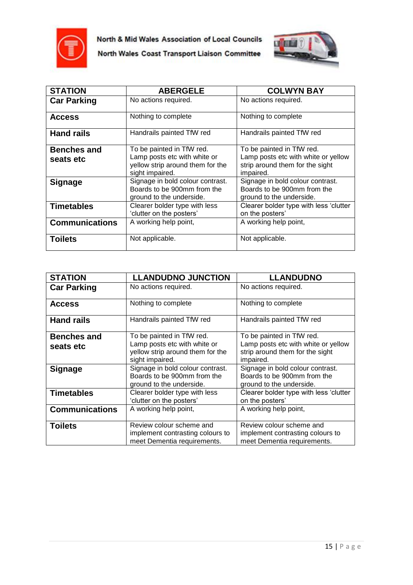



North Wales Coast Transport Liaison Committee

| <b>STATION</b>        | <b>ABERGELE</b>                                                                             | <b>COLWYN BAY</b>                                                                           |  |
|-----------------------|---------------------------------------------------------------------------------------------|---------------------------------------------------------------------------------------------|--|
| <b>Car Parking</b>    | No actions required.                                                                        | No actions required.                                                                        |  |
| <b>Access</b>         | Nothing to complete                                                                         | Nothing to complete                                                                         |  |
| <b>Hand rails</b>     | Handrails painted TfW red                                                                   | Handrails painted TfW red                                                                   |  |
| <b>Benches and</b>    | To be painted in TfW red.                                                                   | To be painted in TfW red.                                                                   |  |
| seats etc             | Lamp posts etc with white or<br>yellow strip around them for the<br>sight impaired.         | Lamp posts etc with white or yellow<br>strip around them for the sight<br>impaired.         |  |
| <b>Signage</b>        | Signage in bold colour contrast.<br>Boards to be 900mm from the<br>ground to the underside. | Signage in bold colour contrast.<br>Boards to be 900mm from the<br>ground to the underside. |  |
| <b>Timetables</b>     | Clearer bolder type with less<br>'clutter on the posters'                                   | Clearer bolder type with less 'clutter<br>on the posters'                                   |  |
| <b>Communications</b> | A working help point,<br>A working help point,                                              |                                                                                             |  |
| <b>Toilets</b>        | Not applicable.                                                                             | Not applicable.                                                                             |  |

| <b>STATION</b>                  | <b>LLANDUDNO JUNCTION</b><br><b>LLANDUDNO</b>                                                                          |                                                                                                                  |
|---------------------------------|------------------------------------------------------------------------------------------------------------------------|------------------------------------------------------------------------------------------------------------------|
| <b>Car Parking</b>              | No actions required.                                                                                                   | No actions required.                                                                                             |
| <b>Access</b>                   | Nothing to complete                                                                                                    | Nothing to complete                                                                                              |
| <b>Hand rails</b>               | Handrails painted TfW red                                                                                              | Handrails painted TfW red                                                                                        |
| <b>Benches and</b><br>seats etc | To be painted in TfW red.<br>Lamp posts etc with white or<br>yellow strip around them for the<br>sight impaired.       | To be painted in TfW red.<br>Lamp posts etc with white or yellow<br>strip around them for the sight<br>impaired. |
| <b>Signage</b>                  | Signage in bold colour contrast.<br>Boards to be 900mm from the<br>ground to the underside.                            | Signage in bold colour contrast.<br>Boards to be 900mm from the<br>ground to the underside.                      |
| <b>Timetables</b>               | Clearer bolder type with less 'clutter<br>Clearer bolder type with less<br>'clutter on the posters'<br>on the posters' |                                                                                                                  |
| <b>Communications</b>           | A working help point,<br>A working help point,                                                                         |                                                                                                                  |
| <b>Toilets</b>                  | Review colour scheme and<br>implement contrasting colours to<br>meet Dementia requirements.                            | Review colour scheme and<br>implement contrasting colours to<br>meet Dementia requirements.                      |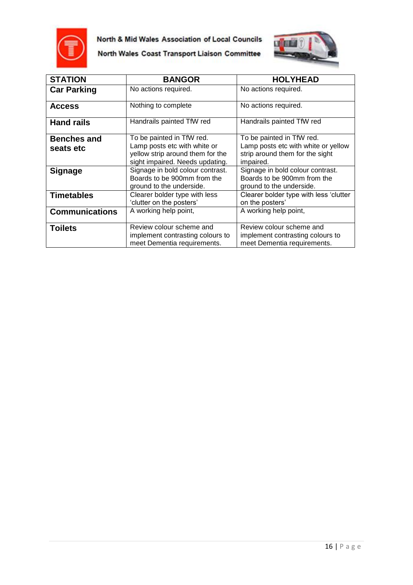



North Wales Coast Transport Liaison Committee

| <b>STATION</b>                  | <b>BANGOR</b>                                                                                                                                                                              | <b>HOLYHEAD</b>                                                                                                  |
|---------------------------------|--------------------------------------------------------------------------------------------------------------------------------------------------------------------------------------------|------------------------------------------------------------------------------------------------------------------|
| <b>Car Parking</b>              | No actions required.                                                                                                                                                                       | No actions required.                                                                                             |
| <b>Access</b>                   | Nothing to complete<br>No actions required.                                                                                                                                                |                                                                                                                  |
| <b>Hand rails</b>               | Handrails painted TfW red                                                                                                                                                                  | Handrails painted TfW red                                                                                        |
| <b>Benches and</b><br>seats etc | To be painted in TfW red.<br>Lamp posts etc with white or<br>yellow strip around them for the<br>sight impaired. Needs updating.                                                           | To be painted in TfW red.<br>Lamp posts etc with white or yellow<br>strip around them for the sight<br>impaired. |
| <b>Signage</b>                  | Signage in bold colour contrast.<br>Boards to be 900mm from the<br>ground to the underside.                                                                                                | Signage in bold colour contrast.<br>Boards to be 900mm from the<br>ground to the underside.                      |
| <b>Timetables</b>               | Clearer bolder type with less 'clutter<br>Clearer bolder type with less<br>'clutter on the posters'<br>on the posters'                                                                     |                                                                                                                  |
| <b>Communications</b>           | A working help point,<br>A working help point,                                                                                                                                             |                                                                                                                  |
| <b>Toilets</b>                  | Review colour scheme and<br>Review colour scheme and<br>implement contrasting colours to<br>implement contrasting colours to<br>meet Dementia requirements.<br>meet Dementia requirements. |                                                                                                                  |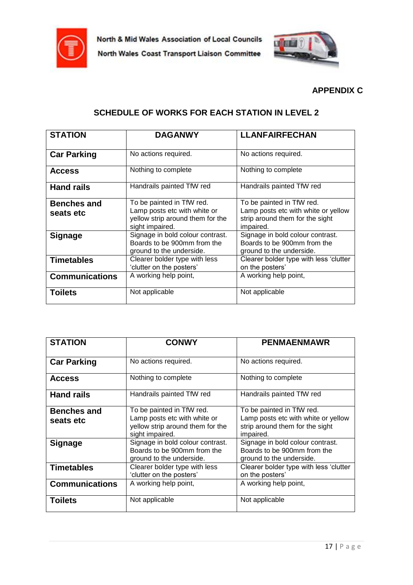



#### **APPENDIX C**

# **SCHEDULE OF WORKS FOR EACH STATION IN LEVEL 2**

| <b>STATION</b>                  | <b>DAGANWY</b>                                                                                                         | <b>LLANFAIRFECHAN</b>                                                                                            |  |
|---------------------------------|------------------------------------------------------------------------------------------------------------------------|------------------------------------------------------------------------------------------------------------------|--|
| <b>Car Parking</b>              | No actions required.                                                                                                   | No actions required.                                                                                             |  |
| <b>Access</b>                   | Nothing to complete<br>Nothing to complete                                                                             |                                                                                                                  |  |
| <b>Hand rails</b>               | Handrails painted TfW red                                                                                              | Handrails painted TfW red                                                                                        |  |
| <b>Benches and</b><br>seats etc | To be painted in TfW red.<br>Lamp posts etc with white or<br>yellow strip around them for the<br>sight impaired.       | To be painted in TfW red.<br>Lamp posts etc with white or yellow<br>strip around them for the sight<br>impaired. |  |
| <b>Signage</b>                  | Signage in bold colour contrast.<br>Boards to be 900mm from the<br>ground to the underside.                            | Signage in bold colour contrast.<br>Boards to be 900mm from the<br>ground to the underside.                      |  |
| <b>Timetables</b>               | Clearer bolder type with less 'clutter<br>Clearer bolder type with less<br>'clutter on the posters'<br>on the posters' |                                                                                                                  |  |
| <b>Communications</b>           | A working help point,<br>A working help point,                                                                         |                                                                                                                  |  |
| <b>Toilets</b>                  | Not applicable                                                                                                         | Not applicable                                                                                                   |  |

| <b>STATION</b>                  | <b>CONWY</b>                                                                                                           | <b>PENMAENMAWR</b>                                                                                               |
|---------------------------------|------------------------------------------------------------------------------------------------------------------------|------------------------------------------------------------------------------------------------------------------|
| <b>Car Parking</b>              | No actions required.                                                                                                   | No actions required.                                                                                             |
| <b>Access</b>                   | Nothing to complete                                                                                                    | Nothing to complete                                                                                              |
| <b>Hand rails</b>               | Handrails painted TfW red                                                                                              | Handrails painted TfW red                                                                                        |
| <b>Benches and</b><br>seats etc | To be painted in TfW red.<br>Lamp posts etc with white or<br>yellow strip around them for the<br>sight impaired.       | To be painted in TfW red.<br>Lamp posts etc with white or yellow<br>strip around them for the sight<br>impaired. |
| <b>Signage</b>                  | Signage in bold colour contrast.<br>Boards to be 900mm from the<br>ground to the underside.                            | Signage in bold colour contrast.<br>Boards to be 900mm from the<br>ground to the underside.                      |
| <b>Timetables</b>               | Clearer bolder type with less<br>Clearer bolder type with less 'clutter<br>'clutter on the posters'<br>on the posters' |                                                                                                                  |
| <b>Communications</b>           | A working help point,<br>A working help point,                                                                         |                                                                                                                  |
| <b>Toilets</b>                  | Not applicable                                                                                                         | Not applicable                                                                                                   |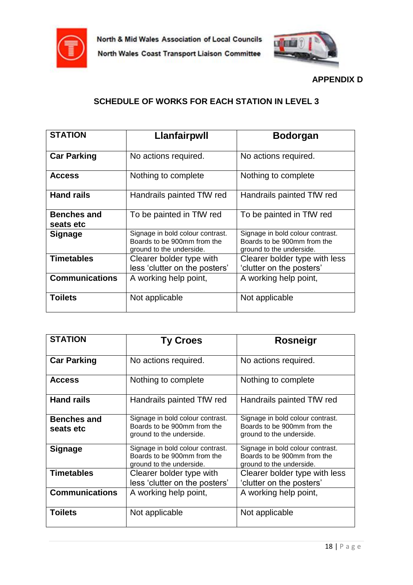



**APPENDIX D**

# **SCHEDULE OF WORKS FOR EACH STATION IN LEVEL 3**

| <b>STATION</b>                  | <b>Llanfairpwll</b>                                                                                                    | <b>Bodorgan</b>                                                                             |  |
|---------------------------------|------------------------------------------------------------------------------------------------------------------------|---------------------------------------------------------------------------------------------|--|
| <b>Car Parking</b>              | No actions required.                                                                                                   | No actions required.                                                                        |  |
| <b>Access</b>                   | Nothing to complete<br>Nothing to complete                                                                             |                                                                                             |  |
| <b>Hand rails</b>               | Handrails painted TfW red                                                                                              | Handrails painted TfW red                                                                   |  |
| <b>Benches and</b><br>seats etc | To be painted in TfW red                                                                                               | To be painted in TfW red                                                                    |  |
| <b>Signage</b>                  | Signage in bold colour contrast.<br>Boards to be 900mm from the<br>ground to the underside.                            | Signage in bold colour contrast.<br>Boards to be 900mm from the<br>ground to the underside. |  |
| <b>Timetables</b>               | Clearer bolder type with<br>Clearer bolder type with less<br>less 'clutter on the posters'<br>'clutter on the posters' |                                                                                             |  |
| <b>Communications</b>           | A working help point,<br>A working help point,                                                                         |                                                                                             |  |
| <b>Toilets</b>                  | Not applicable                                                                                                         | Not applicable                                                                              |  |

| <b>STATION</b>                  | <b>Ty Croes</b>                                                                                                        | Rosneigr                                                                                    |
|---------------------------------|------------------------------------------------------------------------------------------------------------------------|---------------------------------------------------------------------------------------------|
| <b>Car Parking</b>              | No actions required.                                                                                                   | No actions required.                                                                        |
| <b>Access</b>                   | Nothing to complete                                                                                                    | Nothing to complete                                                                         |
| <b>Hand rails</b>               | Handrails painted TfW red                                                                                              | Handrails painted TfW red                                                                   |
| <b>Benches and</b><br>seats etc | Signage in bold colour contrast.<br>Boards to be 900mm from the<br>ground to the underside.                            | Signage in bold colour contrast.<br>Boards to be 900mm from the<br>ground to the underside. |
| <b>Signage</b>                  | Signage in bold colour contrast.<br>Boards to be 900mm from the<br>ground to the underside.                            | Signage in bold colour contrast.<br>Boards to be 900mm from the<br>ground to the underside. |
| <b>Timetables</b>               | Clearer bolder type with<br>Clearer bolder type with less<br>less 'clutter on the posters'<br>'clutter on the posters' |                                                                                             |
| <b>Communications</b>           | A working help point,<br>A working help point,                                                                         |                                                                                             |
| <b>Toilets</b>                  | Not applicable<br>Not applicable                                                                                       |                                                                                             |